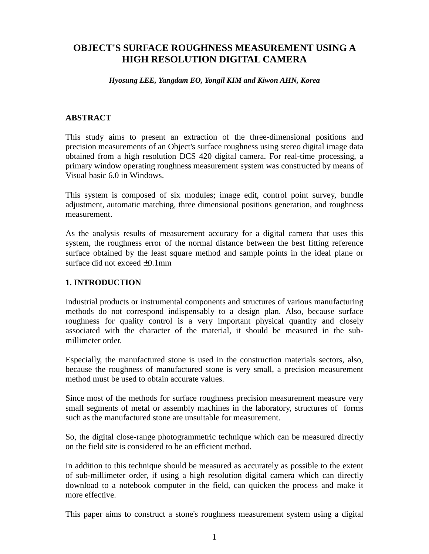# **OBJECT'S SURFACE ROUGHNESS MEASUREMENT USING A HIGH RESOLUTION DIGITAL CAMERA**

#### *Hyosung LEE, Yangdam EO, Yongil KIM and Kiwon AHN, Korea*

### **ABSTRACT**

This study aims to present an extraction of the three-dimensional positions and precision measurements of an Object's surface roughness using stereo digital image data obtained from a high resolution DCS 420 digital camera. For real-time processing, a primary window operating roughness measurement system was constructed by means of Visual basic 6.0 in Windows.

This system is composed of six modules; image edit, control point survey, bundle adjustment, automatic matching, three dimensional positions generation, and roughness measurement.

As the analysis results of measurement accuracy for a digital camera that uses this system, the roughness error of the normal distance between the best fitting reference surface obtained by the least square method and sample points in the ideal plane or surface did not exceed  $+0.1$ mm

#### **1. INTRODUCTION**

Industrial products or instrumental components and structures of various manufacturing methods do not correspond indispensably to a design plan. Also, because surface roughness for quality control is a very important physical quantity and closely associated with the character of the material, it should be measured in the submillimeter order.

Especially, the manufactured stone is used in the construction materials sectors, also, because the roughness of manufactured stone is very small, a precision measurement method must be used to obtain accurate values.

Since most of the methods for surface roughness precision measurement measure very small segments of metal or assembly machines in the laboratory, structures of forms such as the manufactured stone are unsuitable for measurement.

So, the digital close-range photogrammetric technique which can be measured directly on the field site is considered to be an efficient method.

In addition to this technique should be measured as accurately as possible to the extent of sub-millimeter order, if using a high resolution digital camera which can directly download to a notebook computer in the field, can quicken the process and make it more effective.

This paper aims to construct a stone's roughness measurement system using a digital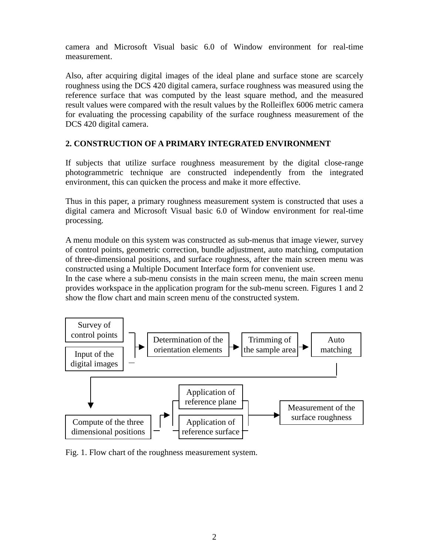camera and Microsoft Visual basic 6.0 of Window environment for real-time measurement.

Also, after acquiring digital images of the ideal plane and surface stone are scarcely roughness using the DCS 420 digital camera, surface roughness was measured using the reference surface that was computed by the least square method, and the measured result values were compared with the result values by the Rolleiflex 6006 metric camera for evaluating the processing capability of the surface roughness measurement of the DCS 420 digital camera.

## **2. CONSTRUCTION OF A PRIMARY INTEGRATED ENVIRONMENT**

If subjects that utilize surface roughness measurement by the digital close-range photogrammetric technique are constructed independently from the integrated environment, this can quicken the process and make it more effective.

Thus in this paper, a primary roughness measurement system is constructed that uses a digital camera and Microsoft Visual basic 6.0 of Window environment for real-time processing.

A menu module on this system was constructed as sub-menus that image viewer, survey of control points, geometric correction, bundle adjustment, auto matching, computation of three-dimensional positions, and surface roughness, after the main screen menu was constructed using a Multiple Document Interface form for convenient use.

In the case where a sub-menu consists in the main screen menu, the main screen menu provides workspace in the application program for the sub-menu screen. Figures 1 and 2 show the flow chart and main screen menu of the constructed system.



Fig. 1. Flow chart of the roughness measurement system.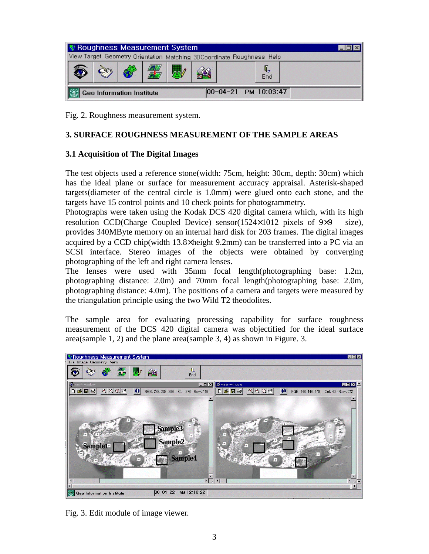| Se Roughness Measurement System                                       |  |  |  |  |  |                          |  |
|-----------------------------------------------------------------------|--|--|--|--|--|--------------------------|--|
| View Target Geometry Orientation Matching 3DCoordinate Roughness Help |  |  |  |  |  |                          |  |
|                                                                       |  |  |  |  |  | Q<br>End                 |  |
| <b>Geo Information Institute</b>                                      |  |  |  |  |  | $00-04-21$ PM $10:03:47$ |  |

Fig. 2. Roughness measurement system.

## **3. SURFACE ROUGHNESS MEASUREMENT OF THE SAMPLE AREAS**

## **3.1 Acquisition of The Digital Images**

The test objects used a reference stone(width: 75cm, height: 30cm, depth: 30cm) which has the ideal plane or surface for measurement accuracy appraisal. Asterisk-shaped targets(diameter of the central circle is 1.0mm) were glued onto each stone, and the targets have 15 control points and 10 check points for photogrammetry.

Photographs were taken using the Kodak DCS 420 digital camera which, with its high resolution CCD(Charge Coupled Device) sensor( $1524 \times 1012$  pixels of  $9 \times 9$  size), provides 340MByte memory on an internal hard disk for 203 frames. The digital images acquired by a CCD chip(width 13.8×height 9.2mm) can be transferred into a PC via an SCSI interface. Stereo images of the objects were obtained by converging photographing of the left and right camera lenses.

The lenses were used with 35mm focal length(photographing base: 1.2m, photographing distance: 2.0m) and 70mm focal length(photographing base: 2.0m, photographing distance: 4.0m). The positions of a camera and targets were measured by the triangulation principle using the two Wild T2 theodolites.

The sample area for evaluating processing capability for surface roughness measurement of the DCS 420 digital camera was objectified for the ideal surface area(sample 1, 2) and the plane area(sample 3, 4) as shown in Figure. 3.



Fig. 3. Edit module of image viewer.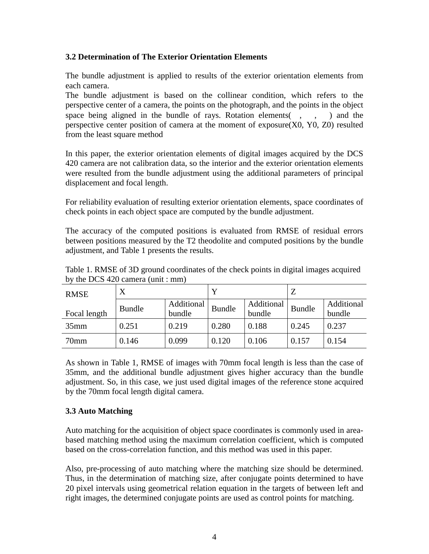### **3.2 Determination of The Exterior Orientation Elements**

The bundle adjustment is applied to results of the exterior orientation elements from each camera.

The bundle adjustment is based on the collinear condition, which refers to the perspective center of a camera, the points on the photograph, and the points in the object space being aligned in the bundle of rays. Rotation elements $( , , , )$  and the perspective center position of camera at the moment of exposure(X0, Y0, Z0) resulted from the least square method

In this paper, the exterior orientation elements of digital images acquired by the DCS 420 camera are not calibration data, so the interior and the exterior orientation elements were resulted from the bundle adjustment using the additional parameters of principal displacement and focal length.

For reliability evaluation of resulting exterior orientation elements, space coordinates of check points in each object space are computed by the bundle adjustment.

The accuracy of the computed positions is evaluated from RMSE of residual errors between positions measured by the T2 theodolite and computed positions by the bundle adjustment, and Table 1 presents the results.

| <b>RMSE</b>  | X             |                      |               |                      | Z             |                      |
|--------------|---------------|----------------------|---------------|----------------------|---------------|----------------------|
| Focal length | <b>Bundle</b> | Additional<br>bundle | <b>Bundle</b> | Additional<br>bundle | <b>Bundle</b> | Additional<br>bundle |
| 35mm         | 0.251         | 0.219                | 0.280         | 0.188                | 0.245         | 0.237                |
| 70mm         | 0.146         | 0.099                | 0.120         | 0.106                | 0.157         | 0.154                |

Table 1. RMSE of 3D ground coordinates of the check points in digital images acquired by the DCS 420 camera (unit : mm)

As shown in Table 1, RMSE of images with 70mm focal length is less than the case of 35mm, and the additional bundle adjustment gives higher accuracy than the bundle adjustment. So, in this case, we just used digital images of the reference stone acquired by the 70mm focal length digital camera.

## **3.3 Auto Matching**

Auto matching for the acquisition of object space coordinates is commonly used in areabased matching method using the maximum correlation coefficient, which is computed based on the cross-correlation function, and this method was used in this paper.

Also, pre-processing of auto matching where the matching size should be determined. Thus, in the determination of matching size, after conjugate points determined to have 20 pixel intervals using geometrical relation equation in the targets of between left and right images, the determined conjugate points are used as control points for matching.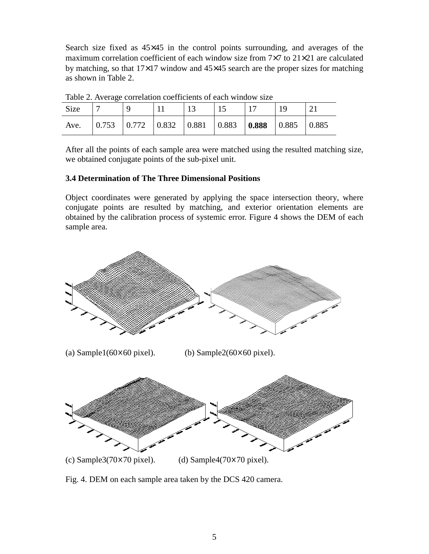Search size fixed as  $45\times45$  in the control points surrounding, and averages of the maximum correlation coefficient of each window size from 7×7 to 21×21 are calculated by matching, so that  $17\times17$  window and  $45\times45$  search are the proper sizes for matching as shown in Table 2.

| Table 2. Twenge correlation coefficients of each window size |  |  |  |  |  |  |  |       |
|--------------------------------------------------------------|--|--|--|--|--|--|--|-------|
| <b>Size</b>                                                  |  |  |  |  |  |  |  |       |
| Ave.                                                         |  |  |  |  |  |  |  | 0.885 |

Table 2. Average correlation coefficients of each window size

After all the points of each sample area were matched using the resulted matching size, we obtained conjugate points of the sub-pixel unit.

#### **3.4 Determination of The Three Dimensional Positions**

Object coordinates were generated by applying the space intersection theory, where conjugate points are resulted by matching, and exterior orientation elements are obtained by the calibration process of systemic error. Figure 4 shows the DEM of each sample area.



Fig. 4. DEM on each sample area taken by the DCS 420 camera.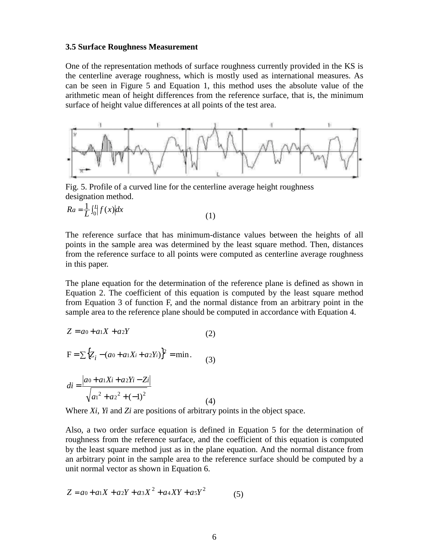#### **3.5 Surface Roughness Measurement**

One of the representation methods of surface roughness currently provided in the KS is the centerline average roughness, which is mostly used as international measures. As can be seen in Figure 5 and Equation 1, this method uses the absolute value of the arithmetic mean of height differences from the reference surface, that is, the minimum surface of height value differences at all points of the test area.



Fig. 5. Profile of a curved line for the centerline average height roughness designation method.

$$
Ra = \frac{1}{L} \int_0^L |f(x)| dx \tag{1}
$$

The reference surface that has minimum-distance values between the heights of all points in the sample area was determined by the least square method. Then, distances from the reference surface to all points were computed as centerline average roughness in this paper.

The plane equation for the determination of the reference plane is defined as shown in Equation 2. The coefficient of this equation is computed by the least square method from Equation 3 of function F, and the normal distance from an arbitrary point in the sample area to the reference plane should be computed in accordance with Equation 4.

$$
Z = a_0 + a_1 X + a_2 Y \tag{2}
$$

$$
F = \sum \{ Z_i - (a_0 + a_1 X_i + a_2 Y_i) \}^2 = \min. \tag{3}
$$

$$
di = \frac{|a_0 + a_1X_i + a_2Y_i - Z_i|}{\sqrt{a_1^2 + a_2^2 + (-1)^2}}
$$
\n(4)

Where *Xi*, *Yi* and *Zi* are positions of arbitrary points in the object space.

Also, a two order surface equation is defined in Equation 5 for the determination of roughness from the reference surface, and the coefficient of this equation is computed by the least square method just as in the plane equation. And the normal distance from an arbitrary point in the sample area to the reference surface should be computed by a unit normal vector as shown in Equation 6.

$$
Z = a_0 + a_1 X + a_2 Y + a_3 X^2 + a_4 XY + a_5 Y^2 \tag{5}
$$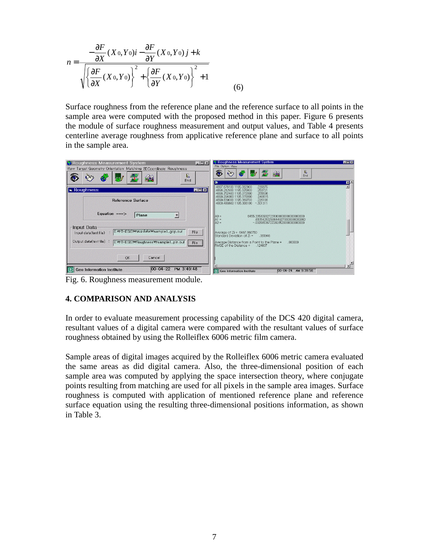$$
n = \frac{-\frac{\partial F}{\partial X}(X_0, Y_0)i - \frac{\partial F}{\partial Y}(X_0, Y_0)j + k}{\sqrt{\left\{\frac{\partial F}{\partial X}(X_0, Y_0)\right\}^2 + \left\{\frac{\partial F}{\partial Y}(X_0, Y_0)\right\}^2 + 1}}
$$
(6)

Surface roughness from the reference plane and the reference surface to all points in the sample area were computed with the proposed method in this paper. Figure 6 presents the module of surface roughness measurement and output values, and Table 4 presents centerline average roughness from applicative reference plane and surface to all points in the sample area.



Fig. 6. Roughness measurement module.

## **4. COMPARISON AND ANALYSIS**

In order to evaluate measurement processing capability of the DCS 420 digital camera, resultant values of a digital camera were compared with the resultant values of surface roughness obtained by using the Rolleiflex 6006 metric film camera.

Sample areas of digital images acquired by the Rolleiflex 6006 metric camera evaluated the same areas as did digital camera. Also, the three-dimensional position of each sample area was computed by applying the space intersection theory, where conjugate points resulting from matching are used for all pixels in the sample area images. Surface roughness is computed with application of mentioned reference plane and reference surface equation using the resulting three-dimensional positions information, as shown in Table 3.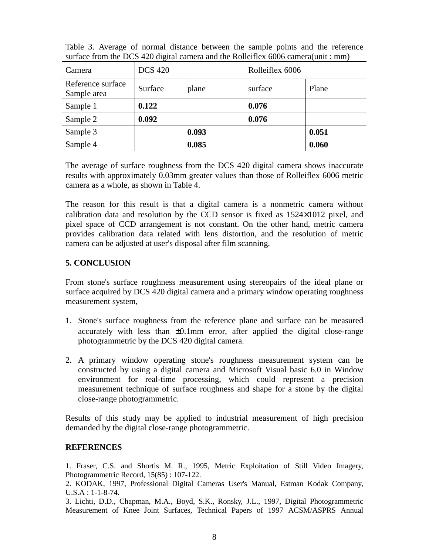| Camera                           | <b>DCS 420</b> |       | Rolleiflex 6006 |       |  |
|----------------------------------|----------------|-------|-----------------|-------|--|
| Reference surface<br>Sample area | Surface        | plane | surface         | Plane |  |
| Sample 1                         | 0.122          |       | 0.076           |       |  |
| Sample 2                         | 0.092          |       | 0.076           |       |  |
| Sample 3                         |                | 0.093 |                 | 0.051 |  |
| Sample 4                         |                | 0.085 |                 | 0.060 |  |

Table 3. Average of normal distance between the sample points and the reference surface from the DCS 420 digital camera and the Rolleiflex 6006 camera(unit : mm)

The average of surface roughness from the DCS 420 digital camera shows inaccurate results with approximately 0.03mm greater values than those of Rolleiflex 6006 metric camera as a whole, as shown in Table 4.

The reason for this result is that a digital camera is a nonmetric camera without calibration data and resolution by the CCD sensor is fixed as 1524×1012 pixel, and pixel space of CCD arrangement is not constant. On the other hand, metric camera provides calibration data related with lens distortion, and the resolution of metric camera can be adjusted at user's disposal after film scanning.

### **5. CONCLUSION**

From stone's surface roughness measurement using stereopairs of the ideal plane or surface acquired by DCS 420 digital camera and a primary window operating roughness measurement system,

- 1. Stone's surface roughness from the reference plane and surface can be measured accurately with less than  $\pm 0.1$ mm error, after applied the digital close-range photogrammetric by the DCS 420 digital camera.
- 2. A primary window operating stone's roughness measurement system can be constructed by using a digital camera and Microsoft Visual basic 6.0 in Window environment for real-time processing, which could represent a precision measurement technique of surface roughness and shape for a stone by the digital close-range photogrammetric.

Results of this study may be applied to industrial measurement of high precision demanded by the digital close-range photogrammetric.

#### **REFERENCES**

1. Fraser, C.S. and Shortis M. R., 1995, Metric Exploitation of Still Video Imagery, Photogrammetric Record, 15(85) : 107-122.

2. KODAK, 1997, Professional Digital Cameras User's Manual, Estman Kodak Company, U.S.A : 1-1-8-74.

3. Lichti, D.D., Chapman, M.A., Boyd, S.K., Ronsky, J.L., 1997, Digital Photogrammetric Measurement of Knee Joint Surfaces, Technical Papers of 1997 ACSM/ASPRS Annual